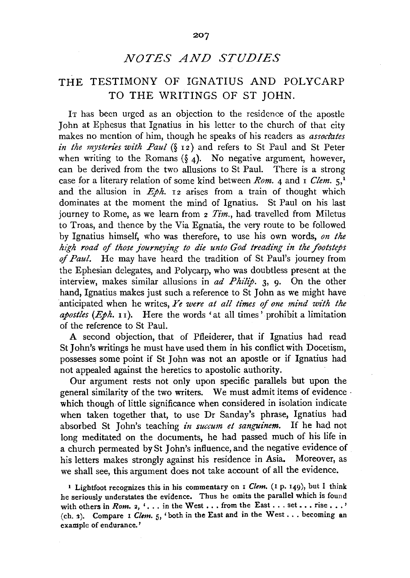# *NOTES AND STUDIES*

## THE TESTIMONY OF IGNATIUS AND POLYCARP TO THE WRITINGS OF ST JOHN.

IT has been urged as an objection to the residence of the apostle John at Ephesus that Ignatius in his letter to the church of that city makes no mention of him, though he speaks of his readers as *associates in the mysteries with Paul* (§ 12) and refers to St Paul and St Peter when writing to the Romans  $(\xi_4)$ . No negative argument, however, can be derived from the two allusions to St Paul. There is a strong case for a literary relation of some kind between *Rom.* 4 and I *Clem.*  $5<sup>1</sup>$ and the allusion in  $Eph$ . I<sub>2</sub> arises from a train of thought which dominates at the moment the mind of Ignatius. St Paul on his last journey to Rome, as we learn from 2 *Tim.,* had. travelled from Miletus to Troas, and thence by the Via Egnatia, the very route to be followed by Ignatius himself, who was therefore, to use his own words, *on the high road of those journeying to die unto God treading in the footsteps*  of *Paul.* He may have heard the tradition of St Paul's journey from the Ephesian delegates, and Polycarp, who was doubtless present at the interview, makes similar allusions in *ad Philip.* 3, 9. On the other hand, Ignatius makes just such a reference to St John as we might have anticipated when he writes, *Ye were at all times of one mind with the apostles (Eph.* 11). Here the words 'at all times' prohibit a limitation of the reference to St Paul.

A second objection, that of Pfleiderer, that if Ignatius had read St John's writings he must have used them in his conflict with Docetism, possesses some point if St John was not an apostle or if Ignatius had not appealed against the heretics to apostolic authority.

Our argument rests not only upon specific parallels but upon the general similarity of the two writers. We must admit items of evidence · which though of little significance when considered in isolation indicate when taken together that, to use Dr Sanday's phrase, Ignatius had absorbed St John's teaching *in succum et sanguinem.* If he had not long meditated on the documents, he had passed much of his life in a church permeated by St John's influence, and the negative evidence of his letters makes strongly against his residence in Asia. Moreover, as we shall see, this argument does not take account of all the evidence.

1 Lightfoot recognizes this in his commentary on I *Clem.* (I p. 149), but I think he seriously understates the evidence. Thus he omits the parallel which is found with others in *Rom.* 2, '... in the West ... from the East ... set ... rise ...' (ch. 3). Compare I *Clem.* 5, 'both in the East and in the West . . . becoming an example of endurance.'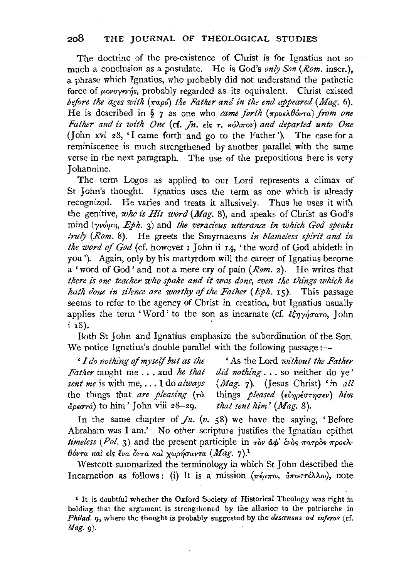The doctrine of the pre-existence of Christ is for Ignatius not so much a conclusion as a postulate. He is God's *only Son* (Rom. inscr.), a phrase which Ignatius, who probably did not understand the pathetic force of *uovoyevns*, probably regarded as its equivalent. Christ existed *before the ages with* ( $\pi$ apa) the Father and in the end appeared (Mag. 6). He is described in § 7 as one who *came forth* (προελθόντα) *from one Father and is with One* (cf. *Jn.* είς τ. κόλπον) and departed unto One (John xvi 28, 'I came forth and go to the Father'). The case for a reminiscence is much strengthened by another parallel with the same verse in the next paragraph. The use of the prepositions here is very Johannine.

The term Logos as applied to our Lord represents a climax of St John's thought. Ignatius uses the term as one which is already recognized. He varies and treats it allusively. Thus he uses it with the genitive, who is His word (Mag. 8), and speaks of Christ as God's mind *(yv*<sup>6</sup>µn, Eph. 3) and the veracious utterance in which God speaks *truly (Rom.* 8). He greets the Smyrnaeans *in blameless spirz't and in the word of God* (cf. however 1 John ii 14, 'the word of God abideth in you'). Again, only by his martyrdom will the career of Ignatius become a 'word of God' and not a mere cry of pain *(Rom.* 2). He writes that *there is one teacher who spake and it 'Was done, even the things which he hath done in silence are worthy of the Father (Eph. 15).* This passage seems to refer to the agency of Christ in creation, but Ignatius usually applies the term 'Word' to the son as incarnate (cf.  $\epsilon \xi \eta \gamma \eta \sigma \alpha \tau$ o, John  $i$   $\overline{18}$ ).

Both St John and Ignatius emphasize the subordination of the Son. We notice Ignatius's double parallel with the following passage:-

*'I do nothing of myself but as the* 'As the Lord *without the Father Father* taught me... and *he that* did nothing... so neither do ye' *sent me* is with me, ... I do *always (Mag.* 7). (Jesus Christ) 'in *all*  the things that *are pleasing*  $(\tau \hat{a})$  $\phi_{\alpha}(\sigma \tau)$  to him' John viii 28-29. *that sent him'* (*Mag.* 8).

*did nothing* ... so neither do ye'

In the same chapter of  $\mathcal{J}_n$ . (v. 58) we have the saying, 'Before Abraham was I am.' No other scripture justifies the Ignatian epithet *timeless (Pol.* 3) and the present participle in  $\tau \partial v$   $d\phi'$   $\epsilon v \partial s$   $\pi a \tau \rho \partial s$   $\pi \rho o \epsilon \lambda$  $θ$ όντα και είς ένα όντα και χωρήσαντα (Mag. 7).<sup>1</sup>

Westcott summarized the terminology in which StJohn described the Incarnation as follows: (i) It is a mission  $(\pi \epsilon \mu \pi \omega, \ \alpha \pi \sigma \tau \epsilon \lambda \lambda \omega)$ , note

<sup>1</sup>It is doubtful whether the Oxford Society of Historical Theology was right in holding that the argument is strengthened by the allusion to the patriarchs in *Philad.* 9, where the thought is probably suggested by the *descensus ad injeros* ( cf.  $\textit{Mag.}$   $\varphi$ ).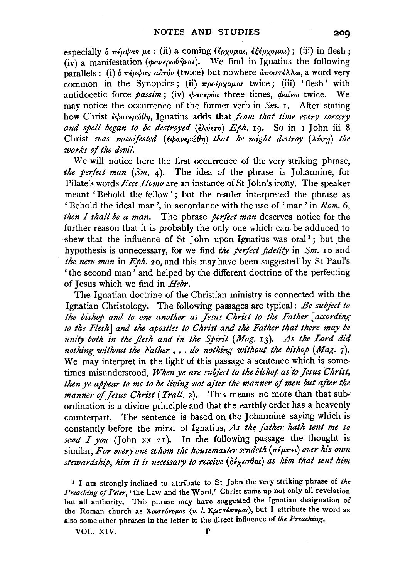especially  $\delta \pi \epsilon \mu \nu \alpha s \mu \epsilon$ ; (ii) a coming  $(\epsilon \rho \chi \rho \mu \alpha t, \epsilon \epsilon \epsilon \rho \chi \rho \mu \alpha t)$ ; (iii) in flesh; (iv) a manifestation ( $\phi \alpha \nu \epsilon \rho \omega \theta \hat{\eta} \nu \alpha t$ ). We find in Ignatius the following parallels: (i) *δ* πέμψας αύτόν (twice) but nowhere αποστέλλω, a word very common in the Synoptics; (ii)  $\pi \rho o \epsilon \rho \chi o \mu a t$  twice; (iii) 'flesh' with antidocetic force *passim*; (iv)  $\phi$ av*epów* three times,  $\phi$ aívw twice. We may notice the occurrence of the former verb in *Sm.* I. After stating how Christ *εφανερώθη*, Ignatius adds that *from that time every sorcery and spell began to be destroyed* (ελύετο) *Eph.* 19. So in 1 John iii 8 Christ *was manifested* (εφανερώθη) that he might destroy (λύση) the *works* of *the devil.* 

We will notice here the first occurrence of the very striking phrase, *the perfect man* (Sm, 4). The idea of the phrase is Johannine, for Pilate's words *Ecce Homo* are an instance of St John's irony. The speaker meant 'Behold the fellow' ; but the reader interpreted the phrase as 'Behold the ideal man', in accordance with the use of 'man' in *Rom.* 6, *then I shall be a man.* The phrase *perfect man* deserves notice for the further reason that it is probably the only one which can be adduced to shew that the influence of St John upon Ignatius was oral<sup>1</sup>; but the hypothesis is unnecessary, for we find *the perfect fidelity* in *Sm.* 10 and *the new man* in *Eph. zo,* and this may have been suggested by St Paul's ' the second man' and helped by the different doctrine of the perfecting of Jesus which we find in *Hebr.* 

The Ignatian doctrine of the Christian ministry is connected with the Ignatian Christology. The following passages are typical: *Be subject to the bishop and to one another as Jesus Christ to the Father [according lo the Flesh] and the apostles to Christ and the Father that there may be* unity both in the flesh and in the Spirit (Mag. 13). As the Lord did *nothing without the Father •* •• *do nothing without the bishop (Mag.* 7). We may interpret in the light of this passage a sentence which is sometimes misunderstood, When ye are subject to the bishop as to Jesus Christ, *then ye appear to me to be living not after the manner of men but after the manner of Jesus Christ (Trall. 2).* This means no more than that subordination is a divine principle and that the earthly order has a heavenly counterpart. The sentence is based on the Johannine saying which is constantly before the mind of Ignatius, *As the father hath sent me so send* I *you* (John xx 2I). In the following passage the thought is similar, *For every one whom the housemaster sendeth* (πέμπει) *over his own stewardship, him it is necessary to receive* (δέχεσθαι) as him that sent him

<sup>I</sup>I am strongly inclined to attribute to St John the very striking phrase of *the Preaching of Peter,* 'the Law and the Word.' Christ sums up not only all revelation but all authority. This phrase may have suggested the lgnatian designation of the Roman church as *Χριστόνομοs (v. l. Χριστώννμοs*), but I attribute the word as also some other phrases in the letter to the direct influence of *the Preaching.* 

VOL. XIV. P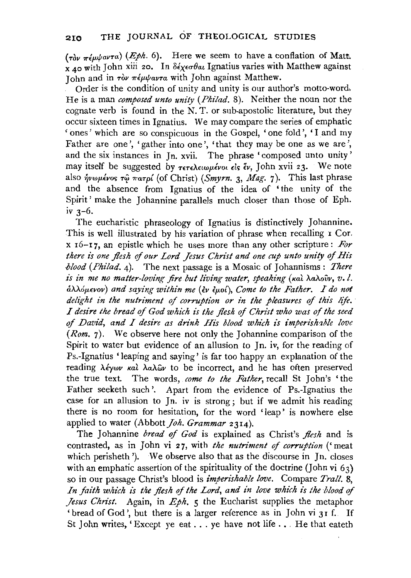$(r_0 \hat{r}_\nu \pi \epsilon \mu \nu \alpha \nu \tau \alpha)$  (*Eph.* 6). Here we seem to have a conflation of Matt.  $x_{A0}$  with John xiii 20. In  $\delta \epsilon_X \epsilon \sigma \theta \alpha$  Ignatius varies with Matthew against John and in  $\tau \partial v$   $\pi \epsilon \mu \psi a \nu \tau a$  with John against Matthew.

Order is the condition of unity and unity is our author's motto-word-. He is a man *composed unto unity (Philad.* 8). Neither the noun nor the cognate verb is found in the N. T. or sub-apostolic literature, but they occur sixteen times in Ignatius. We may compare the series of emphatic 'ones' which are so conspicuous in the Gospel, 'one fold', 'I and my Father are one', 'gather into one', 'that they may be one as we are', and the six instances in Jn. xvii. The phrase 'composed unto unity' may itself be suggested by  $\tau \in \lambda \in \omega$ *u* $\epsilon \nu$  *is*  $\epsilon \nu$ . John xvii 23. We note also ήνωμένος τῷ πατρί (of Christ) (Smyrn. 3, Mag. 7). This last phrase and the absence from Ignatius of the idea of 'the unity of the Spirit' make the Johannine parallels much closer than those of Eph. iv 3-6.

The eucharistic phraseology of Ignatius is distinctively Johannine. This is well illustrated by his variation of phrase when recalling  $\bar{1}$  Cor.  $x$  16-17, an epistle which he uses more than any other scripture: *For there is one flesh* of *our Lord Jesus Christ and one cup unto unity of His !Jlood (Philad.* 4). The next passage is a Mosaic of Johannisms: *There is in me no matter-loving fire but living water, speaking (kal λaλovv, v.l. a>..Aop.wov) and saying within me* (£v £p.ot), *Come to the Father. I do not delight in the nutriment of corruption or in the pleasures of this life.*  I *desire the bread of God which is the flesh of Christ who was of the seed*  of David, and I desire as drink His blood which is imperishable love *(Rom.* 7). We observe here not only the Johannine comparison of the Spirit to water but evidence of an allusion to Jn. iv, for the reading of Ps.-Ignatius 'leaping and saying' is far too happy an explanation of the reading λέγων και λαλων to be incorrect, and he has often preserved the true text. The words, *come to the Father,* recall St John's 'the Father seeketh such'. Apart from the evidence of Ps.-Ignatius the case for an allusion to Jn. iv is strong; but if we admit his reading there is no room for hesitation, for the word 'leap' is nowhere else applied to water (Abbott *Joh. Grammar* 2314).

The Johannine *bread of God* is explained as Christ's *flesh* and is contrasted, as in John vi 27, with *the nutn'ment of corruption* ('meat which perisheth '). We observe also that as the discourse in Jn. closes with an emphatic assertion of the spirituality of the doctrine (John vi  $63$ ) so in our passage Christ's blood is *imperishable love.* Compare *Trall.* 8, In faith which is the flesh of the Lord, and in love which is the blood of *Jesus Christ.* Again, in *Eph.* 5 the Eucharist supplies the metaphor 'bread of God', but there is a larger reference as in John vi 31 f. If St *John writes.* 'Except ye eat . . . ye have not life . . . He that eateth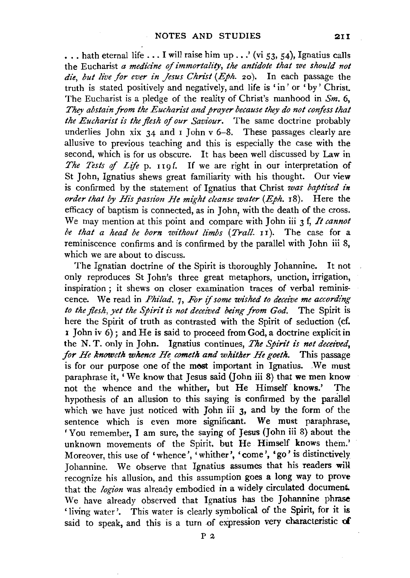... hath eternal life ... I will raise him up ...' (vi 53, 54), Ignatius calls the Eucharist *a medicine of immortality, the antidote that we should not die, but live for ever in Jesus Christ (Eph.* 20). In each passage the truth is stated positively and negatively, and life is 'in' or 'by' Christ. The Eucharist is a pledge of the reality of Christ's manhood in *Sm.* 6, *They abstain from the Eucharist and prayer because they do not confess that the Eucharist is the flesh of our Saviour.* The same doctrine probably underlies John xix  $34$  and I John v 6-8. These passages clearly are allusive to previous teaching and this is especially the case with the second, which is for us obscure. It has been well discussed by Law in *The Tests of Life p.* 119f. If we are right in our interpretation of St John, Ignatius shews great familiarity with his thought. Our view is confirmed by the statement of Ignatius that Christ *was baptized in order that by His passion He might cleanse water (Eph. 18).* Here the efficacy of baptism is connected, as in John, with the death of the cross. We may mention at this point and compare with John iii 3 f, *It cannot be that a head be born 1vithout limbs (Trail.* u). The case for a reminiscence confirms and is confirmed by the parallel with John iii 8, which we are about to discuss.

The Ignatian doctrine of the Spirit is thoroughly Johannine. It not only reproduces St John's three great metaphors, unction, irrigation, inspiration ; it shews on closer examination traces of verbal reminiscence. We read in *Philad.* 7, *For if some wished to deceive me according to the flesh, yet the Spirit is not deceived being from God.* The Spirit is here the Spirit of truth as contrasted with the Spirit of seduction (cf. 1 John iv  $\vec{0}$  ; and He is said to proceed from God, a doctrine explicit in the N. T. only in John. Ignatius continues, *The Spirit is not deceived, for He knoweth whence He cometh and whither He goeth.* This passage is for our purpose one of the most important in Ignatius. We must paraphrase it, 'We know that Jesus said (John iii 8) that we men know not the whence and the whither, but He Himself knows.' The hypothesis of an allusion to this saying is confirmed by the parallel which we have just noticed with John iii 3, and by the form of the sentence which is even more significant. We must paraphrase, 'You remember, I am sure, the saying of Jesus (John iii 8) about the unknown movements of the Spirit, but He Himself knows them.' Moreover, this use of 'whence', 'whither', 'come', 'go' is distinctively Jobannine. We observe that Ignatius assumes that his readers will recognize his allusion, and this assumption goes a long way to prove that the *logion* was already embodied in a widely circulated document. We have already observed that Ignatius has the Johannine phrase 'living water'. This water is clearly symbolical of the Spirit, for it is said to speak, and this is a turn of expression very characteristic of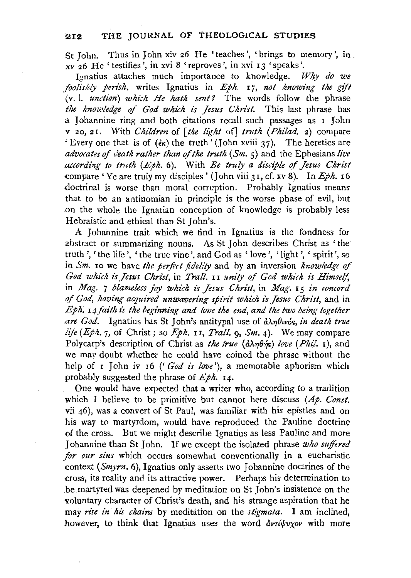St John. Thus in John xiv 26 He 'teaches', 'brings to memory', 10 . xv 26 He 'testifies', in xvi 8 'reproves', in xvi 13 'speaks'.

Ignatius attaches much importance to knowledge. *Why do we foolishly perish, writes Ignatius in Eph. 17, not knowing the gift* (v. I. *unction) which He hath sent?* The words follow the phrase the knowledge of God which is Jesus Christ. This last phrase has a Johannine ring and both citations recall such passages as I John v 20, 2 r. With *Children* of *[the light* of] *truth (Philad.* 2) compare 'Every one that is of  $(kk)$  the truth' (John xviii 37). The heretics are *advocates of death rather than of the truth*  $(Sm, \varsigma)$  and the Ephesians *live* according to truth (Eph. 6). With *Be truly a disciple of Jesus Christ* compare 'Ye are truly my disciples' (John viii 31, cf. xv 8). In *Eph.* 16 doctrinal is worse than moral corruption. Probably Ignatius means that to be an antinomian in principle is the worse phase of evil, but on the whole the Ignatian conception of knowledge is probably less Hebraistic and ethical than St John's.

A Johannine trait which we find in Ignatius is the fondness for abstract or summarizing nouns. As St John describes Christ as ' the truth', 'the life', 'the true vine', and God as 'love', 'light', 'spirit', so in *Sm.* 10 we have the perfect fidelity and by an inversion *knowledge of* God which is Jesus Christ, in *Trall.* II unity of God which is Himself, in *Mag. 7 blameless joy which is Jesus Christ*, in *Mag.* 15 *in concord* of God, having acquired unwavering spirit which is Jesus Christ, and in *Eph.* 14 faith is the beginning and love the end, and the two being together *.are God.* Ignatius has St John's anti typal use of &.X1JOtv6~, *in death true life (Eph.* 7, of Christ; so *Eph.* II, *Trail.* 9, *Sm.* 4). We may compare Polycarp's description of Christ as *the true (d* $\lambda \eta \theta \eta s$ ) *love (Phil.* **r**), and we may doubt whether he could have coined the phrase without the help of **I** John iv 16 ('God is love'), a memorable aphorism which probably suggested the phrase of  $Eph.$  **14.** 

One would have expected that a writer who, according to a tradition which I believe to be primitive but cannot here discuss (Ap. Const. vii 46), was a convert of St Paul, was familiar with his epistles and on his way to martyrdom, would have reproduced the Pauline doctrine of the cross. But we might describe Ignatius as less Pauline and more Johannine than St John. If we except the isolated phrase who suffered *for our sins* which occurs somewhat conventionally in a eucharistic context *(Smyrn.* 6), Ignatius only asserts two Johannine doctrines of the cross, its reality and its attractive power. Perhaps his determination to be martyred was deepened by meditation on St John's insistence on the voluntary character of Christ's death, and his strange aspiration that he may *rise in his chains* by meditation on the *stigmata.* I am inclined, however, to think that Ignatius uses the word *deridpoxov* with more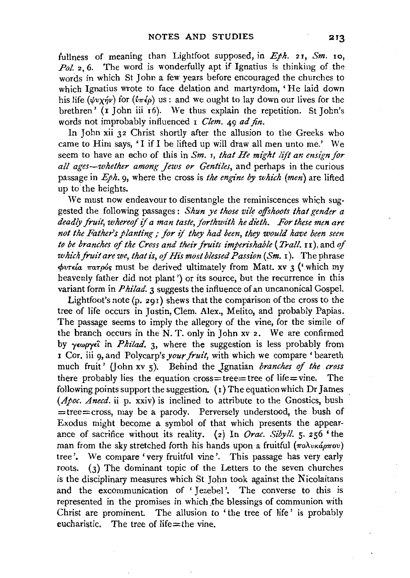fullness of meaning than Lightfoot supposed, in  $Eph.$  21, *Sm.* 10, Pol. 2, 6. The word is wonderfully apt if Ignatius is thinking of the words in which St John a few years before encouraged the churches to which Ignatius wrote to face delation and martyrdom, ' He laid down his life ( $\psi v \chi \gamma \psi$ ) for ( $\psi \pi \epsilon \rho$ ) us: and we ought to lay down our lives for the brethren' (I John iii 16). We thus explain the repetition. St John's words not improbably influenced I *Clem.* 49 *ad fin.* 

In John xii 32 Christ shortly after the allusion to the Greeks who came to Him says, 'I if I be lifted up will draw all men unto me.' We seem to have an echo of this in *Sm.* r, *that He might lift an ensign for all ages-whether among Jews or Gentiles,* and perhaps in the curious passage in *Eph.* 9, where the cross is *the engine by which (men)* are lifted up to the heights.

We must now endeavour to disentangle the reminiscences which suggested the following passages : *Shun ye those vile offshoots that gender a* deadly fruit, whereof if a man taste, forthwith he dieth. For these men are not the Father's planting; for if they had been, they would have been seen *to be branches of the Cross and their fruits imperishable* (*Trall.* 11), and *of which fruit are we, that is, of His most blessed Passion (Sm. 1).* The phrase *<f>vnla ?raTp6<;* must be derived ultimately from Matt. xv 3 ('which my heavenly father did not plant') or its source, but the recurrence in this variant form in *P hilad.* 3 suggests the influence of an uncanonical Gospel.

Lightfoot's note (p. 29I) shews that the comparison of the cross to the tree of life occurs in Justin, Clem. Alex., Melito, and probably Papias. The passage seems to imply the allegory of the vine, for the simile of the branch occurs in the N. T. only in John xv 2. We are confirmed by *y£wpy£'i* in *Philad.* 3, where the suggestion is less probably from I Cor. iii 9, and Polycarp's *your fruit*, with which we compare 'beareth much fruit' (John xv 5). Behind the Ignatian *branches of the cross* there probably lies the equation cross=tree=tree of life=vine. The following points support the suggestion.  $(1)$  The equation which Dr James *(Apoc. Anecd.* ii p. xxiv) is inclined to attribute to the Gnostics, bush =tree=cross, may be a parody. Perversely understood, the bush of Exodus might become a symbol of that which presents the appearance of sacrifice without its reality. (2) In *Orac. Sibyll.* 5· 256 'the man from the sky stretched forth his hands upon a fruitful  $(\pi \lambda v \kappa \omega \pi \omega v)$ tree'. We compare 'very fruitful vine'. This passage has very early roots. (3) The dominant topic of the Letters to the seven churches is the disciplinary measures which St John took against the Nicolaitans and the excommunication of 'Iezebel'. The converse to this is represented in the promises in which the blessings of communion with Christ are prominent. The allusion to 'the tree of life' is probably eucharistic. The tree of life= the vine.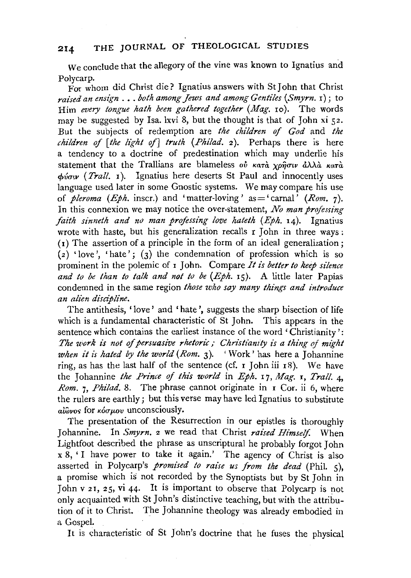*we* conclude that the allegory of the vine was known to Ignatius and Polycarp.

For whom did Christ die? Ignatius answers with St John that Christ *raised an ensign* .•. *both among Jews and among Gentiles (Smyrn.* I); to Him *every tongue hath been gathered together (Mag.* Io). The words may be suggested by Isa. lxvi 8, but the thought is that of John xi 52. But the subjects of redemption are *the children of God* and *the children of [the light of] truth (Philad.* 2). Perhaps there is here a tendency to a doctrine of predestination which may underlie his statement that the Trallians are blameless ov  $\kappa a\tau a$  xpnow  $\hat{a}\lambda\lambda\hat{a}$   $\kappa a\tau\hat{a}$ *cpvaw (Trail.* I). Ignatius here deserts St Paul and innocently uses language used later in some Gnostic systems. We may compare his use of *pleroma (Eph.* inscr.) and 'matter-loving' as = 'carnal' *(Rom.* 7). In this connexion we may notice the over-statement, *No man professing faith sinneth and no man professing love hateth (Eph. 14).* Ignatius wrote with haste, but his generalization recalls r John in three ways:  $(i)$  The assertion of a principle in the form of an ideal generalization;  $(z)$  'love', 'hate';  $(z)$  the condemnation of profession which is so prominent in the polemic of  $\overline{I}$  John. Compare *It is better to keep silence* and to be than to talk and not to be (Eph. 15). A little later Papias condemned in the same region *those who say many things and introduce an alien disci'pline.* 

The antithesis, 'love' and 'hate', suggests the sharp bisection of life which is a fundamental characteristic of St John. This appears in the sentence which contains the earliest instance of the word 'Christianity': The work is not of persuasive rhetoric; Christianity is a thing of might *when it is hated by the world (Rom. 3).* 'Work' has here a Johannine ring, as has the last half of the sentence (cf.  $\bar{I}$  John iii  $\bar{I}$ 8). We have the Johannine *the Prince of thzs world* in *Eph.* I7, *Mag.* I, *Trail.* 4, *Rom.* 7, *Philad.* 8. The phrase cannot originate in I Cor. ii 6, where the rulers are earthly; but this verse may have led Ignatius to substitute  $a\hat{i}\hat{\omega}$ νος for *κόσμου* unconsciously.

The presentation of the Resurrection in our epistles is thoroughly Johannine. In *Smyrn*. 2 we read that Christ *raised Himself*. When Lightfoot described the phrase as unscriptural he probably forgot John  $x \times 8$ , 'I have power to take it again.' The agency of Christ is also asserted in Polycarp's *promzsed to raise us from the dead* (Phil. *5* ), a promise which is not recorded by the Synoptists but by St John in John v 2 I, 2 *5,* vi 44· It is important to observe that Polycarp is not only acquainted with St John's distinctive teaching, but with the attribution of it to Christ. The Johannine theology was already embodied in a Gospel.

It is characteristic of St John's doctrine that he fuses the physical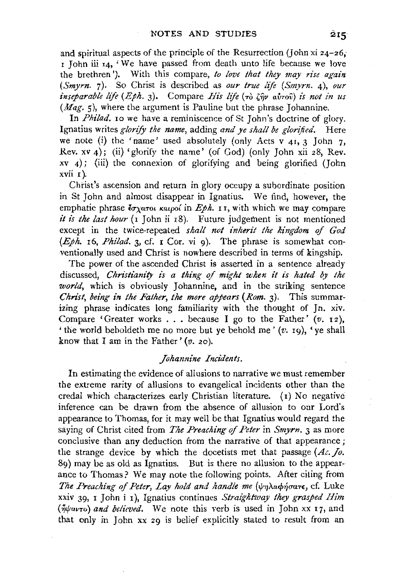and spiritual aspects of the principle of the Resurrection (John xi  $z_4$ - $z_6$ , r John iii 14, 'We have passed from death unto life because we love the brethren'). With this compare, *to love that they may rise again (Smyrn.* 7). So Christ is described as *our true life (Smyrn.* 4), *our inseparable life* (*Eph. 3*). Compare *His life* (τὸ ζην αὐτοῦ) is not in us *(Mag.* 5), where the argument is Pauline but the phrase Johannine.

In *Philad*, 10 we have a reminiscence of St John's doctrine of glory. Ignatius writes *glorify the name,* adding *and ye shall be glorified.* Here we note (i) the 'name' used absolutely (only Acts v  $41$ , 3 John 7, Rev. xv 4); (ii) 'glorify the name' (of God) (only John xii 28, Rev.  $xy$  4); (iii) the connexion of glorifying and being glorified (John xvii r ).

Christ's ascension and return in glory occupy a subordinate position in St John and almost disappear in Ignatius. We find, however, the emphatic phrase  $\zeta_{\alpha\alpha\gamma\alpha\kappa}$  *Katpo{* in *Eph.* 11, with which we may compare *it is the last hour* (1 John ii 18). Future judgement is not mentioned except in the twice-repeated *shall not inherit the kingdom of God (Eph.* I6, *Philad.* 3, cf. I Cor. vi g). The phrase is somewhat conventionally used and Christ is nowhere described in terms of kingship.

The power of the ascended Christ is asserted in a sentence already discussed, *Christianity is a thing of might when it is hated by the world,* which is obviously Johannine, and in the striking sentence *Christ, being in the Father, the more appears (Rom. 3).* This summarizing phrase indicates long familiarity with the thought of Jn. xiv. Compare 'Greater works  $\ldots$  because I go to the Father' (v. 12), 'the world beholdeth me no more but ye behold me'  $(v, q)$ , 'ye shall know that I am in the Father' *(v.* 20).

#### *Johannine Incidents.*

In estimating the evidence of allusions to narrative we must remember the extreme rarity of allusions to evangelical incidents other than the credal which characterizes early Christian literature. ( 1) No negative inference can be drawn from the absence of allusion to our Lord's appearance to Thomas, for it may well be that Ignatius would regard the saying of Christ cited from *The Preaching of Peter* in *Smyrn*. 3 as more conclusive than any deduction from the narrative of that appearance; the strange device by which the docetists met that passage  $(Ac, I_0, I_0)$ 89) may be as old as Ignatius. But is there no allusion to the appearance to Thomas? We may note the following points. After citing from *The Preaching of Peter, Lay hold and handle me (* $\psi$ *ηλαφήσατε, cf. Luke* xxiv 39, I John i r), Ignatius continues *Straightway they grasped Him*   $({\eta}{\psi}av_{\tau o})$  *and believed*. We note this verb is used in John xx 17, and that only in John xx 29 is belief explicitly stated to result from an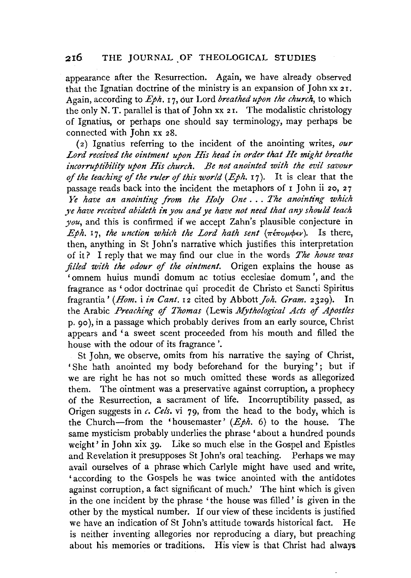appearance after the Resurrection. Again, we have already observed that the Ignatian doctrine of the ministry is an expansion of John xx 2 r. Again, according to *Eph.* I 7, our Lord *breathed upon the church,* to which the only N. T. parallel is that of John xx 21. The modalistic christology of Ignatius, or perhaps one should say terminology, may perhaps be connected with John xx 28.

( 2) Ignatius referring to the incident of the anointing writes, *our Lord received the ointment upon His head in order that He might breathe incorruptibility upon His church. Be not anointed with the evil savour of the teaching of the ruler of this world (Eph. 17).* It is clear that the passage reads back into the incident the metaphors of I John ii 20, 27 *Ye have an anointing from the Holy One* . . . *.The anointt'ng which ye have received abideth in you and ye have not need that any should teach you,* and this is confirmed if we accept Zahn's plausible conjecture in  $Eph.$  17, *the unction which the Lord hath sent*  $(\pi \epsilon \pi o \mu \phi \epsilon \nu)$ . Is there, then, anything in St John's narrative which justifies this interpretation of it? I reply that we may find our clue in the words *The house was filled with the odour of the ointment.* Origen explains the house as 'omnem huius mundi domum ac totius ecclesiae domum ',and the fragrance as ' odor doctrinae qui procedit de Christo et Sancti Spiritus fragrantia' *(Hom. i in Cant. 12* cited by Abbott *Joh. Gram.* 2329). In the Arabic Preaching of Thomas (Lewis Mythological Acts of Apostles p. 90 ), in a passage which probably derives from an early source, Christ appears and 'a sweet scent proceeded from his mouth and filled the house with the odour of its fragrance'.

St John, we observe, omits from his narrative the saying of Christ, 'She hath anointed my body beforehand for the burying'; but if we are right he has not so much omitted these words as allegorized them. The ointment was a preservative against corruption, a prophecy of the Resurrection, a sacrament of life. Incorruptibility passed, as Origen suggests in *c. Gels.* vi 79, from the head to the body, which is the Church-from the 'housemaster' *(Eph.* 6) to the house. The same mysticism probably underlies the phrase 'about a hundred pounds weight' in John xix 39. Like so much else in the Gospel and Epistles and Revelation it presupposes St John's oral teaching. Perhaps we may avail ourselves of a phrase which Carlyle might have used and write, 'according to the Gospels he was twice anointed with the antidotes against corruption, a fact significant of much.' The hint which is given in the one incident by the phrase 'the house was filled' is given in the other by the mystical number. If our view of these incidents is justified we have an indication of St John's attitude towards historical fact. He is neither inventing allegories nor reproducing a diary, but preaching about his memories or traditions. His view is that Christ had always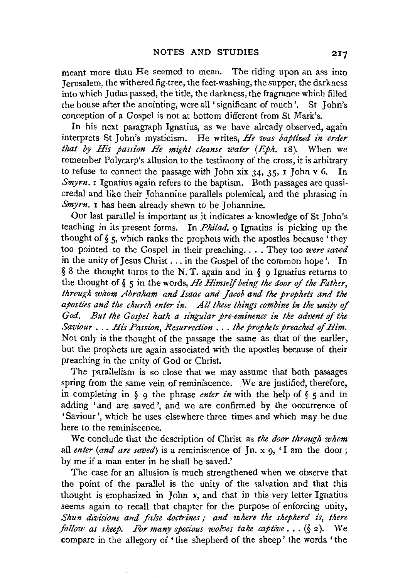meant more than He seemed to mean. The riding upon an ass into Jerusalem, the withered fig-tree, the feet-washing, the supper, the darkness into which Judas passed, the title, the darkness, the fragrance which filled the house after the anointing, were all 'significant of much'. St John's conception of a Gospel is not at bottom different from St Mark's.

In his next paragraph Ignatius, as we have already observed, again interprets St John's mysticism. He writes, *He was baptized in order that by His passion He might cleanse water (Eph.* I8). When we remember Polycarp's allusion to the testimony of the cross, it is arbitrary to refuse to connect the passage with John xix  $34$ ,  $35$ ,  $\frac{1}{10}$  John v 6. In *Smyrn.* **I** Ignatius again refers to the baptism. Both passages are quasicredal and like their Johannine parallels polemical, and the phrasing in *Smyrn.* **1** has been already shewn to be Iohannine.

Our last parallel is important as it indicates a knowledge of St John's teaching in its present forms. In *Philad.* 9 Ignatius is picking up the thought of  $\S$  5, which ranks the prophets with the apostles because 'they too pointed to the Gospel in their preaching .... They too *were saved*  in the unity of Jesus Christ ... in the Gospel of the common hope'. In  $§ 8$  the thought turns to the N.T. again and in  $§ 0$  Ignatius returns to the thought of § *5* in the words, *He Himself being the door* of *the Father, through whom Abraham and Isaac and Jacob and the prophets and the apostles and the church enter in. All these things combine in the unity of God. But the Gospel hath a singular pre-eminence in the advent* of *the Saviour* ... *His Passion, Resurrection* ... *the prophets preached of Him.*  Not only is the thought of the passage the same as that of the earlier, but the prophets are again associated with the apostles because of their preaching in the unity of God or Christ.

The parallelism is so close that we may assume that both passages spring from the same vein of reminiscence. We are justified, therefore, in completing in § 9 the phrase *enter in* with the help of § *5* and in adding 'and are saved', and we are confirmed by the occurrence of 'Saviour', which he uses elsewhere three times and which may be due here to the reminiscence.

We conclude that the description of Christ as *the door through whom*  all *enter (and are saved)* is a reminiscence of  $\overline{p}$ , x  $\overline{q}$ , 'I am the door ; by me if a man enter in he shall be saved.'

The case for an allusion is much strengthened when we observe that the point of the parallel is the unity of the salvation and that this thought is emphasized in John x, and that in this very letter Ignatius seems again to recall that chapter for the purpose of enforcing unity. *Shun divisions and false doctrines : and where the shepherd is, there follow as sheep. For many specious wolves take captive* ... (§ 2 ). We compare in the allegory of 'the shepherd of the sheep' the words 'the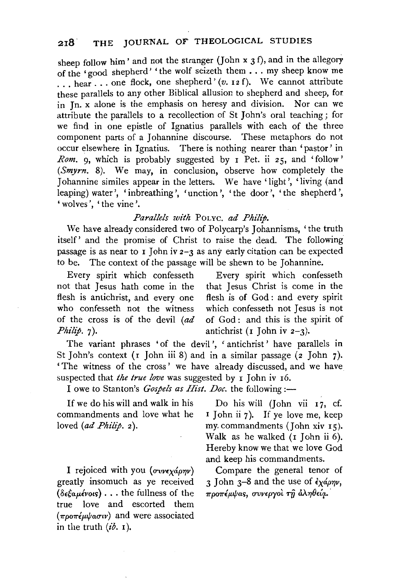sheep follow him' and not the stranger (John x  $3 f$ ), and in the allegory of the 'good shepherd' 'the wolf seizeth them . . . my sheep know me ... hear ... one flock, one shepherd' (v. 12 f). We cannot attribute these parallels to any other Biblical allusion to shepherd and sheep, for in Jn. x alone is the emphasis on heresy and division. Nor can we attribute the parallels to a recollection of StJohn's oral teaching; for we find in one epistle of Ignatius parallels with each of the three component parts of a Johannine discourse. These metaphors do not occur elsewhere in Ignatius. There is nothing nearer than 'pastor' in *Rom.* 9, which is probably suggested by I Pet. ii 25, and 'follow' *(Smyrn.* 8). We may, in conclusion, observe how completely the Johannine similes appear in the letters. We have 'light', 'living (and leaping) water', 'inbreathing', 'unction', 'the door', 'the shepherd', 'wolves', 'the vine'.

### *Parallels with* POLYC. *ad Philip.*

We have already considered two of Polycarp's Johannisms, 'the truth itself' and the promise of Christ to raise the dead. The following passage is as near to I John iv  $2-3$  as any early citation can be expected to be. The context of the passage will be shewn to be Johannine.

not that Jesus hath come in the that Jesus Christ is come in the flesh is antichrist, and every one flesh is of God: and every spirit flesh is antichrist, and every one who confesseth not the witness which confesseth not Jesus is not of the cross is of the devil *(ad* of God: and this is the spirit of *Philip.* 7). antichrist (I John iv 2-3).

Every spirit which confesseth Every spirit which confesseth

The variant phrases 'of the devil', 'antichrist' have parallels in St John's context ( $I$  John iii 8) and in a similar passage ( $2$  John  $7$ ). 'The witness of the cross ' we have already discussed, and we have suspected that *the true love* was suggested by **I** John iv 16.

I owe to Stanton's *Gospels as Hist. Doc.* the following :-

commandments and love what he loved *(ad Philip. 2)*. my. commandments (John xiv 15).

I rejoiced with you  $(\sigma v \nu \epsilon \chi d\rho \eta \nu)$ greatly insomuch as ye received *(8£taplvms)* ••• the fullness of the true love and escorted them  $(\pi \rho \sigma \pi \epsilon \mu \psi a \sigma \nu)$  and were associated in the truth  $(i\delta, 1)$ .

If we do his will and walk in his Do his will (John vii 17, cf. mmandments and love what he I John ii 7). If ye love me, keep Walk as he walked (I John ii 6). Hereby know we that we love God and keep his commandments.

> Compare the general tenor of 3 John 3-8 and the use of  $\partial x \phi \phi \gamma$ ,  $\pi$ ροπέμψας, συνεργοί τη άληθεία.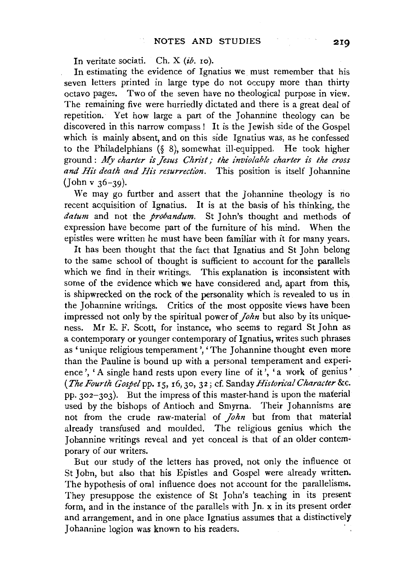In veritate sociati. Ch. X *(ib.* xo).

In estimating the evidence of Ignatius we must remember that his seven letters printed in large type do not occupy more than thirty octavo pages. Two of the seven have no theological purpose in view. The remaining five were hurriedly dictated and there is a great deal of repetition. Yet how large a part of the Johannine theology can be discovered in this narrow compass! It is the Jewish side of the Gospel which is mainly absent, and on this side Ignatius was, as he confessed to the Philadelphians (§ 8), somewhat ill-equipped. He took higher ground : My *charter is Jesus Christ; the inviolable charter is the cross*  and His death and His resurrection. This position is itself Johannine (John v 36-39).

We may go further and assert that the Johannine theology is no recent acquisition of Ignatius. It is at the basis of his thinking, the *datum* and not the *probandum.* St John's thought and methods of expression have become part of the furniture of his mind. When the epistles were written he must have been familiar with it for many years.

It has been thought that the fact that Ignatius and St John belong to the same school of thought is sufficient to account for the parallels which we find in their writings. This explanation is inconsistent with some of the evidence which we have considered and, apart from this, is shipwrecked on the rock of the personality which is revealed to us in the Johannine writings. Critics of the most opposite views have been impressed not only by the spiritual power of *John* but also by its uniqueness. Mr E. F. Scott, for instance, who seems to regard St John as a contemporary or younger contemporary of Ignatius, writes such phrases as 'unique religious temperament', 'The Johannine thought even more than the Pauline is bound up with a personal temperament and experience', 'A single hand rests upon every line of it', 'a work of genius' *(The Fourth Gospel* pp. 15, r6,Jo, 32; cf. Sanday *Historical Character* &c. pp.  $302 - 303$ . But the impress of this master-hand is upon the material used by the bishops of Antioch and Smyrna. Their Johannisms are not from the crude raw-material of *John* but from that material already transfused and moulded. The religious genius which the Johannine writings reveal and yet conceal is that of an older contemporary of our writers.

But our study of the letters has proved, not only the influence or St John, but also that his Epistles and Gospel were already written. The hypothesis of oral influence does not account for the parallelisms. They presuppose the existence of St John's teaching in its present form, and in the instance of the parallels with  $Jn$ . x in its present order and arrangement, and in one place Ignatius assumes that a distinctively Johannine logion was known to his readers.